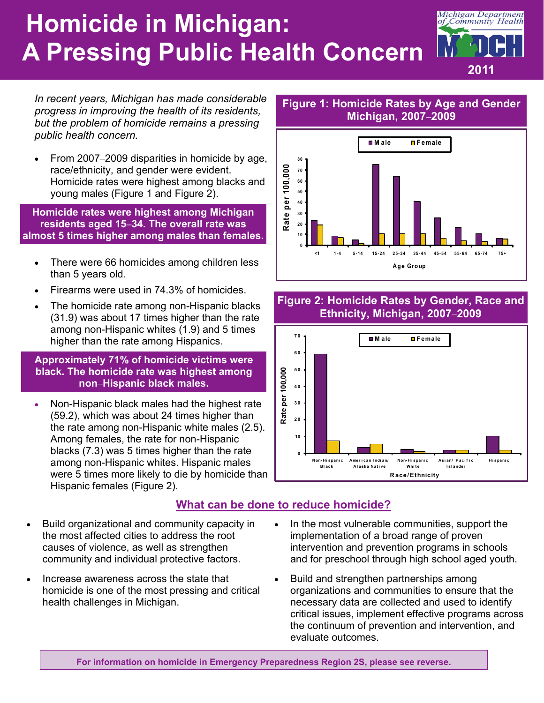# **Homicide in Michigan: A Pressing Public Health Concern**



*In recent years, Michigan has made considerable progress in improving the health of its residents, but the problem of homicide remains a pressing public health concern.* 

 From 2007–2009 disparities in homicide by age, race/ethnicity, and gender were evident. Homicide rates were highest among blacks and young males (Figure 1 and Figure 2).

**Homicide rates were highest among Michigan residents aged 15–34. The overall rate was almost 5 times higher among males than females.** 

- There were 66 homicides among children less than 5 years old.
- Firearms were used in 74.3% of homicides.
- The homicide rate among non-Hispanic blacks (31.9) was about 17 times higher than the rate among non-Hispanic whites (1.9) and 5 times higher than the rate among Hispanics.

#### **Approximately 71% of homicide victims were black. The homicide rate was highest among non**–**Hispanic black males.**

 Non-Hispanic black males had the highest rate (59.2), which was about 24 times higher than the rate among non-Hispanic white males (2.5). Among females, the rate for non-Hispanic blacks (7.3) was 5 times higher than the rate among non-Hispanic whites. Hispanic males were 5 times more likely to die by homicide than Hispanic females (Figure 2).

#### Rate per 100,000 **Rate per 100,000 70 60 50 40**

**80**



**Figure 1: Homicide Rates by Age and Gender Michigan, 2007–2009** 

**M ale Female**

#### **Figure 2: Homicide Rates by Gender, Race and Ethnicity, Michigan, 2007**–**2009**



## **What can be done to reduce homicide?**

- Build organizational and community capacity in the most affected cities to address the root causes of violence, as well as strengthen community and individual protective factors.
- Increase awareness across the state that homicide is one of the most pressing and critical health challenges in Michigan.
- In the most vulnerable communities, support the implementation of a broad range of proven intervention and prevention programs in schools and for preschool through high school aged youth.
- Build and strengthen partnerships among organizations and communities to ensure that the necessary data are collected and used to identify critical issues, implement effective programs across the continuum of prevention and intervention, and evaluate outcomes.